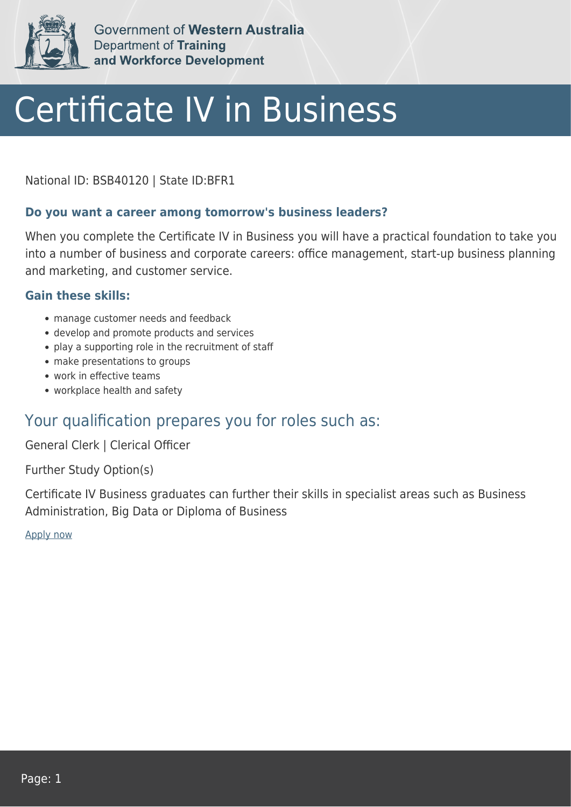

Government of Western Australia **Department of Training** and Workforce Development

# Certificate IV in Business

National ID: BSB40120 | State ID:BFR1

#### **Do you want a career among tomorrow's business leaders?**

When you complete the Certificate IV in Business you will have a practical foundation to take you into a number of business and corporate careers: office management, start-up business planning and marketing, and customer service.

#### **Gain these skills:**

- manage customer needs and feedback
- develop and promote products and services
- play a supporting role in the recruitment of staff
- make presentations to groups
- work in effective teams
- workplace health and safety

### Your qualification prepares you for roles such as:

General Clerk | Clerical Officer

Further Study Option(s)

Certificate IV Business graduates can further their skills in specialist areas such as Business Administration, Big Data or Diploma of Business

[Apply now](https://tasonline.tafe.wa.edu.au/Default.aspx)